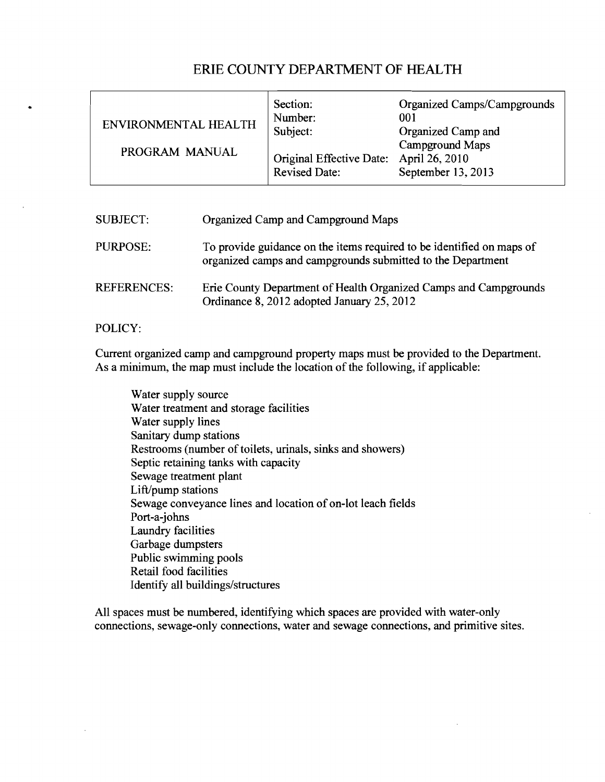## ERIE COUNTY DEPARTMENT OF HEALTH

| ENVIRONMENTAL HEALTH<br>PROGRAM MANUAL | Section:<br>Number:<br>Subject:<br>Original Effective Date: April 26, 2010<br><b>Revised Date:</b> | Organized Camps/Campgrounds<br>001<br>Organized Camp and<br>Campground Maps<br>September 13, 2013 |
|----------------------------------------|----------------------------------------------------------------------------------------------------|---------------------------------------------------------------------------------------------------|
|----------------------------------------|----------------------------------------------------------------------------------------------------|---------------------------------------------------------------------------------------------------|

| <b>SUBJECT:</b>    | Organized Camp and Campground Maps                                                                                                   |
|--------------------|--------------------------------------------------------------------------------------------------------------------------------------|
| <b>PURPOSE:</b>    | To provide guidance on the items required to be identified on maps of<br>organized camps and campgrounds submitted to the Department |
| <b>REFERENCES:</b> | Erie County Department of Health Organized Camps and Campgrounds<br>Ordinance 8, 2012 adopted January 25, 2012                       |

## POLICY:

Current organized camp and campground property maps must be provided to the Department. As a minimum, the map must include the location of the following, if applicable:

Water supply source Water treatment and storage facilities Water supply lines Sanitary dump stations Restrooms (number of toilets, urinals, sinks and showers) Septic retaining tanks with capacity Sewage treatment plant Lift/pump stations Sewage conveyance lines and location of on-lot leach fields Port-a-johns Laundry facilities Garbage dumpsters Public swimming pools Retail food facilities Identify all buildings/structures

All spaces must be numbered, identifying which spaces are provided with water-only connections, sewage-only connections, water and sewage connections, and primitive sites.